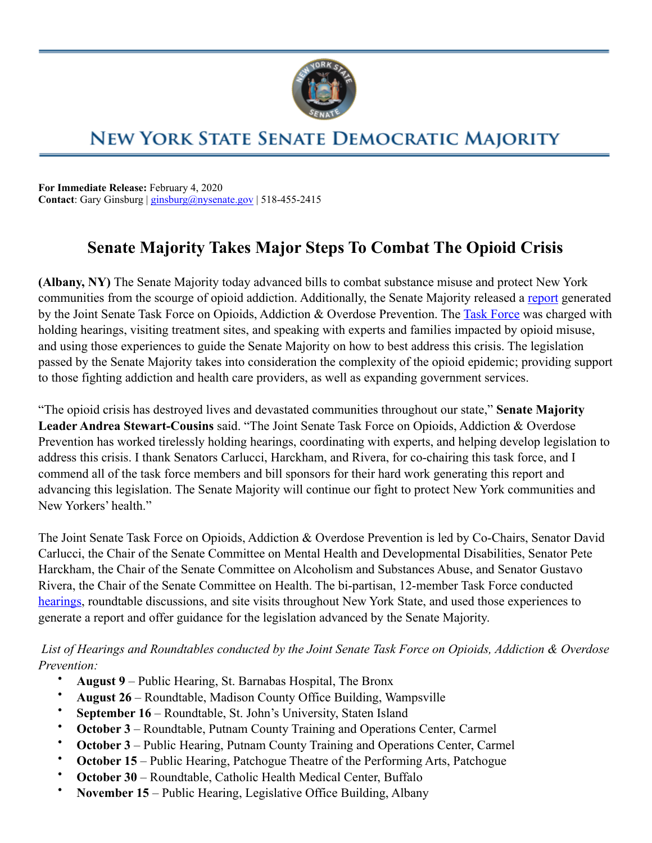

# **NEW YORK STATE SENATE DEMOCRATIC MAJORITY**

**For Immediate Release:** February 4, 2020 **Contact**: Gary Ginsburg | [ginsburg@nysenate.gov](mailto:ginsburg@nysenate.gov) | 518-455-2415

# **Senate Majority Takes Major Steps To Combat The Opioid Crisis**

**(Albany, NY)** The Senate Majority today advanced bills to combat substance misuse and protect New York communities from the scourge of opioid addiction. Additionally, the Senate Majority released a [report](https://www.nysenate.gov/sites/default/files/report_of_the_joint_senate_task_force_on_opioids_addictions_and_overdose_prevention_0.pdf) generated by the Joint Senate [Task Force](https://www.nysenate.gov/committees/joint-senate-task-force-opioids-addiction-overdose-prevention) on Opioids, Addiction & Overdose Prevention. The Task Force was charged with holding hearings, visiting treatment sites, and speaking with experts and families impacted by opioid misuse, and using those experiences to guide the Senate Majority on how to best address this crisis. The legislation passed by the Senate Majority takes into consideration the complexity of the opioid epidemic; providing support to those fighting addiction and health care providers, as well as expanding government services.

"The opioid crisis has destroyed lives and devastated communities throughout our state," **Senate Majority Leader Andrea Stewart-Cousins** said. "The Joint Senate Task Force on Opioids, Addiction & Overdose Prevention has worked tirelessly holding hearings, coordinating with experts, and helping develop legislation to address this crisis. I thank Senators Carlucci, Harckham, and Rivera, for co-chairing this task force, and I commend all of the task force members and bill sponsors for their hard work generating this report and advancing this legislation. The Senate Majority will continue our fight to protect New York communities and New Yorkers' health."

The Joint Senate Task Force on Opioids, Addiction & Overdose Prevention is led by Co-Chairs, Senator David Carlucci, the Chair of the Senate Committee on Mental Health and Developmental Disabilities, Senator Pete Harckham, the Chair of the Senate Committee on Alcoholism and Substances Abuse, and Senator Gustavo Rivera, the Chair of the Senate Committee on Health. The bi-partisan, 12-member Task Force conducted [hearings,](https://www.nysenate.gov/newsroom/press-releases/senate-announces-statewide-hearings-and-roundtable-discussions-opioids) roundtable discussions, and site visits throughout New York State, and used those experiences to generate a report and offer guidance for the legislation advanced by the Senate Majority.

 *List of Hearings and Roundtables conducted by the Joint Senate Task Force on Opioids, Addiction & Overdose Prevention:* 

- **August 9** Public Hearing, St. Barnabas Hospital, The Bronx
- **August 26** Roundtable, Madison County Office Building, Wampsville
- **September 16**  Roundtable, St. John's University, Staten Island
- **October 3** Roundtable, Putnam County Training and Operations Center, Carmel
- **October 3** Public Hearing, Putnam County Training and Operations Center, Carmel
- **October 15**  Public Hearing, Patchogue Theatre of the Performing Arts, Patchogue
- **October 30**  Roundtable, Catholic Health Medical Center, Buffalo
- **November 15**  Public Hearing, Legislative Office Building, Albany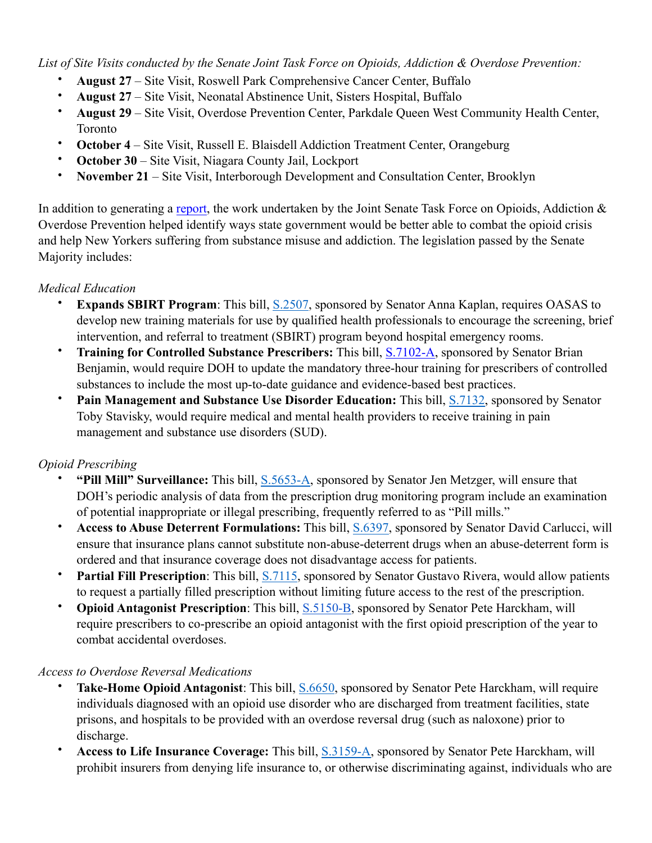*List of Site Visits conducted by the Senate Joint Task Force on Opioids, Addiction & Overdose Prevention:*

- **August 27**  Site Visit, Roswell Park Comprehensive Cancer Center, Buffalo
- **August 27** Site Visit, Neonatal Abstinence Unit, Sisters Hospital, Buffalo
- **August 29**  Site Visit, Overdose Prevention Center, Parkdale Queen West Community Health Center, Toronto
- **October 4**  Site Visit, Russell E. Blaisdell Addiction Treatment Center, Orangeburg
- **October 30**  Site Visit, Niagara County Jail, Lockport
- **November 21**  Site Visit, Interborough Development and Consultation Center, Brooklyn

In addition to generating a [report](https://www.nysenate.gov/sites/default/files/report_of_the_joint_senate_task_force_on_opioids_addictions_and_overdose_prevention_0.pdf), the work undertaken by the Joint Senate Task Force on Opioids, Addiction & Overdose Prevention helped identify ways state government would be better able to combat the opioid crisis and help New Yorkers suffering from substance misuse and addiction. The legislation passed by the Senate Majority includes:

#### *Medical Education*

- **Expands SBIRT Program**: This bill, [S.2507,](https://www.nysenate.gov/legislation/bills/2019/s2507) sponsored by Senator Anna Kaplan, requires OASAS to develop new training materials for use by qualified health professionals to encourage the screening, brief intervention, and referral to treatment (SBIRT) program beyond hospital emergency rooms.
- **Training for Controlled Substance Prescribers:** This bill, [S.7102-A,](https://www.nysenate.gov/legislation/bills/2019/s7102) sponsored by Senator Brian Benjamin, would require DOH to update the mandatory three-hour training for prescribers of controlled substances to include the most up-to-date guidance and evidence-based best practices.
- **Pain Management and Substance Use Disorder Education:** This bill, [S.7132](https://www.nysenate.gov/legislation/bills/2019/s7132), sponsored by Senator Toby Stavisky, would require medical and mental health providers to receive training in pain management and substance use disorders (SUD).

#### *Opioid Prescribing*

- **"Pill Mill" Surveillance:** This bill, [S.5653-A](https://www.nysenate.gov/legislation/bills/2019/s5653), sponsored by Senator Jen Metzger, will ensure that DOH's periodic analysis of data from the prescription drug monitoring program include an examination of potential inappropriate or illegal prescribing, frequently referred to as "Pill mills."
- **Access to Abuse Deterrent Formulations:** This bill, [S.6397](https://www.nysenate.gov/legislation/bills/2019/s6397), sponsored by Senator David Carlucci, will ensure that insurance plans cannot substitute non-abuse-deterrent drugs when an abuse-deterrent form is ordered and that insurance coverage does not disadvantage access for patients.
- **Partial Fill Prescription**: This bill, **S.7115**, sponsored by Senator Gustavo Rivera, would allow patients to request a partially filled prescription without limiting future access to the rest of the prescription.
- **Opioid Antagonist Prescription**: This bill, [S.5150-B,](https://www.nysenate.gov/legislation/bills/2019/s5150/amendment/b) sponsored by Senator Pete Harckham, will require prescribers to co-prescribe an opioid antagonist with the first opioid prescription of the year to combat accidental overdoses.

#### *Access to Overdose Reversal Medications*

- **Take-Home Opioid Antagonist**: This bill, [S.6650](https://www.nysenate.gov/legislation/bills/2019/s6650), sponsored by Senator Pete Harckham, will require individuals diagnosed with an opioid use disorder who are discharged from treatment facilities, state prisons, and hospitals to be provided with an overdose reversal drug (such as naloxone) prior to discharge.
- **Access to Life Insurance Coverage:** This bill, [S.3159-A](https://www.nysenate.gov/legislation/bills/2019/s3159), sponsored by Senator Pete Harckham, will prohibit insurers from denying life insurance to, or otherwise discriminating against, individuals who are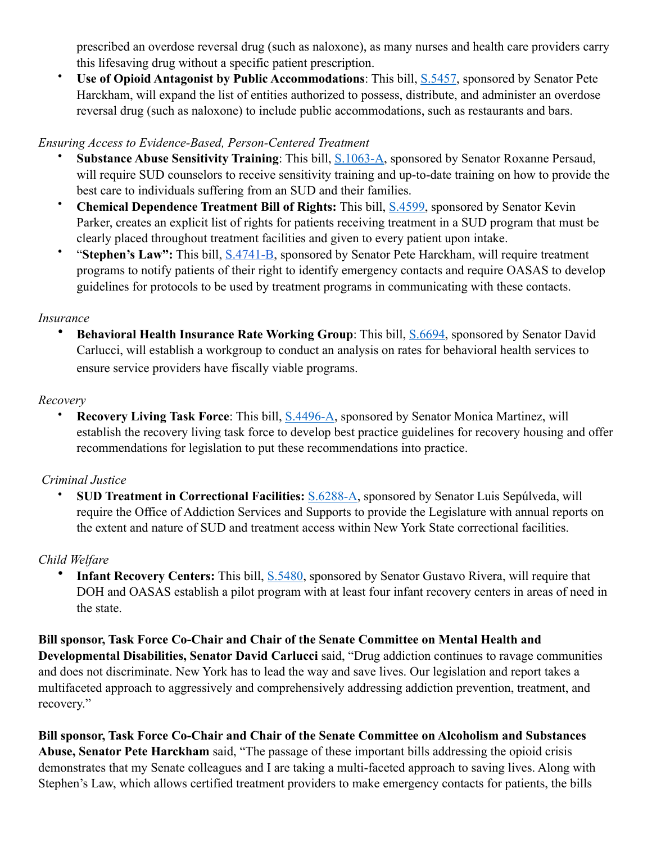prescribed an overdose reversal drug (such as naloxone), as many nurses and health care providers carry this lifesaving drug without a specific patient prescription.

• **Use of Opioid Antagonist by Public Accommodations**: This bill, [S.5457,](https://www.nysenate.gov/legislation/bills/2019/s5457) sponsored by Senator Pete Harckham, will expand the list of entities authorized to possess, distribute, and administer an overdose reversal drug (such as naloxone) to include public accommodations, such as restaurants and bars.

#### *Ensuring Access to Evidence-Based, Person-Centered Treatment*

- **Substance Abuse Sensitivity Training**: This bill, [S.1063-A,](https://www.nysenate.gov/legislation/bills/2019/s1063/amendment/a) sponsored by Senator Roxanne Persaud, will require SUD counselors to receive sensitivity training and up-to-date training on how to provide the best care to individuals suffering from an SUD and their families.
- **Chemical Dependence Treatment Bill of Rights:** This bill, [S.4599](https://www.nysenate.gov/legislation/bills/2019/s4599), sponsored by Senator Kevin Parker, creates an explicit list of rights for patients receiving treatment in a SUD program that must be clearly placed throughout treatment facilities and given to every patient upon intake.
- "**Stephen's Law":** This bill, [S.4741-B](https://www.nysenate.gov/legislation/bills/2019/s4741/amendment/b), sponsored by Senator Pete Harckham, will require treatment programs to notify patients of their right to identify emergency contacts and require OASAS to develop guidelines for protocols to be used by treatment programs in communicating with these contacts.

#### *Insurance*

• **Behavioral Health Insurance Rate Working Group**: This bill, [S.6694](https://www.nysenate.gov/legislation/bills/2019/S6694), sponsored by Senator David Carlucci, will establish a workgroup to conduct an analysis on rates for behavioral health services to ensure service providers have fiscally viable programs.

#### *Recovery*

**Recovery Living Task Force:** This bill, [S.4496-A](https://www.nysenate.gov/legislation/bills/2019/s4496), sponsored by Senator Monica Martinez, will establish the recovery living task force to develop best practice guidelines for recovery housing and offer recommendations for legislation to put these recommendations into practice.

## *Criminal Justice*

• **SUD Treatment in Correctional Facilities:** [S.6288-A,](https://www.nysenate.gov/legislation/bills/2019/s6288) sponsored by Senator Luis Sepúlveda, will require the Office of Addiction Services and Supports to provide the Legislature with annual reports on the extent and nature of SUD and treatment access within New York State correctional facilities.

## *Child Welfare*

• **Infant Recovery Centers:** This bill, [S.5480,](https://www.nysenate.gov/legislation/bills/2019/s5480) sponsored by Senator Gustavo Rivera, will require that DOH and OASAS establish a pilot program with at least four infant recovery centers in areas of need in the state.

**Bill sponsor, Task Force Co-Chair and Chair of the Senate Committee on Mental Health and Developmental Disabilities, Senator David Carlucci** said, "Drug addiction continues to ravage communities and does not discriminate. New York has to lead the way and save lives. Our legislation and report takes a multifaceted approach to aggressively and comprehensively addressing addiction prevention, treatment, and recovery."

**Bill sponsor, Task Force Co-Chair and Chair of the Senate Committee on Alcoholism and Substances Abuse, Senator Pete Harckham** said, "The passage of these important bills addressing the opioid crisis demonstrates that my Senate colleagues and I are taking a multi-faceted approach to saving lives. Along with Stephen's Law, which allows certified treatment providers to make emergency contacts for patients, the bills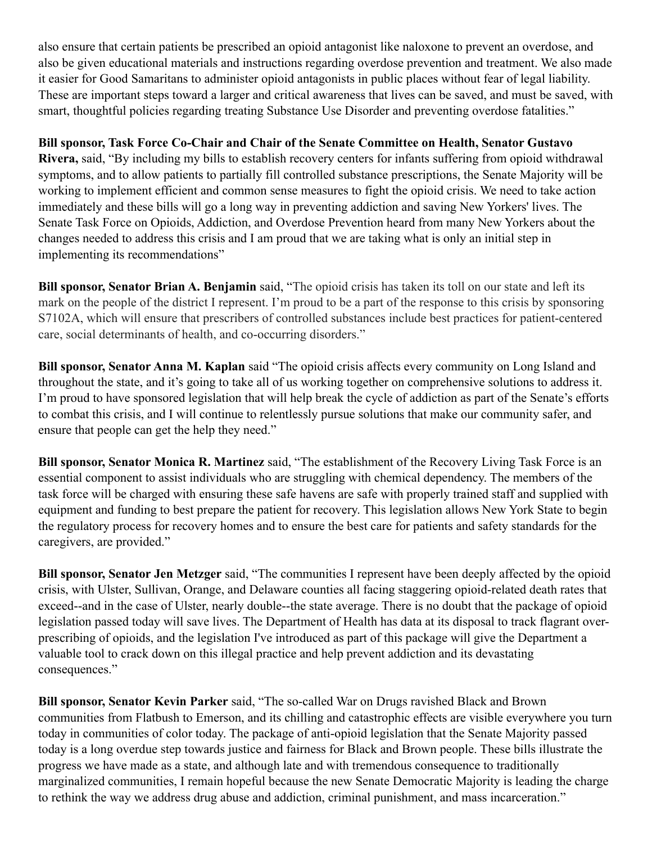also ensure that certain patients be prescribed an opioid antagonist like naloxone to prevent an overdose, and also be given educational materials and instructions regarding overdose prevention and treatment. We also made it easier for Good Samaritans to administer opioid antagonists in public places without fear of legal liability. These are important steps toward a larger and critical awareness that lives can be saved, and must be saved, with smart, thoughtful policies regarding treating Substance Use Disorder and preventing overdose fatalities."

**Bill sponsor, Task Force Co-Chair and Chair of the Senate Committee on Health, Senator Gustavo Rivera,** said, "By including my bills to establish recovery centers for infants suffering from opioid withdrawal symptoms, and to allow patients to partially fill controlled substance prescriptions, the Senate Majority will be working to implement efficient and common sense measures to fight the opioid crisis. We need to take action immediately and these bills will go a long way in preventing addiction and saving New Yorkers' lives. The Senate Task Force on Opioids, Addiction, and Overdose Prevention heard from many New Yorkers about the changes needed to address this crisis and I am proud that we are taking what is only an initial step in implementing its recommendations"

**Bill sponsor, Senator Brian A. Benjamin** said, "The opioid crisis has taken its toll on our state and left its mark on the people of the district I represent. I'm proud to be a part of the response to this crisis by sponsoring S7102A, which will ensure that prescribers of controlled substances include best practices for patient-centered care, social determinants of health, and co-occurring disorders."

**Bill sponsor, Senator Anna M. Kaplan** said "The opioid crisis affects every community on Long Island and throughout the state, and it's going to take all of us working together on comprehensive solutions to address it. I'm proud to have sponsored legislation that will help break the cycle of addiction as part of the Senate's efforts to combat this crisis, and I will continue to relentlessly pursue solutions that make our community safer, and ensure that people can get the help they need."

**Bill sponsor, Senator Monica R. Martinez** said, "The establishment of the Recovery Living Task Force is an essential component to assist individuals who are struggling with chemical dependency. The members of the task force will be charged with ensuring these safe havens are safe with properly trained staff and supplied with equipment and funding to best prepare the patient for recovery. This legislation allows New York State to begin the regulatory process for recovery homes and to ensure the best care for patients and safety standards for the caregivers, are provided."

**Bill sponsor, Senator Jen Metzger** said, "The communities I represent have been deeply affected by the opioid crisis, with Ulster, Sullivan, Orange, and Delaware counties all facing staggering opioid-related death rates that exceed--and in the case of Ulster, nearly double--the state average. There is no doubt that the package of opioid legislation passed today will save lives. The Department of Health has data at its disposal to track flagrant overprescribing of opioids, and the legislation I've introduced as part of this package will give the Department a valuable tool to crack down on this illegal practice and help prevent addiction and its devastating consequences."

**Bill sponsor, Senator Kevin Parker** said, "The so-called War on Drugs ravished Black and Brown communities from Flatbush to Emerson, and its chilling and catastrophic effects are visible everywhere you turn today in communities of color today. The package of anti-opioid legislation that the Senate Majority passed today is a long overdue step towards justice and fairness for Black and Brown people. These bills illustrate the progress we have made as a state, and although late and with tremendous consequence to traditionally marginalized communities, I remain hopeful because the new Senate Democratic Majority is leading the charge to rethink the way we address drug abuse and addiction, criminal punishment, and mass incarceration."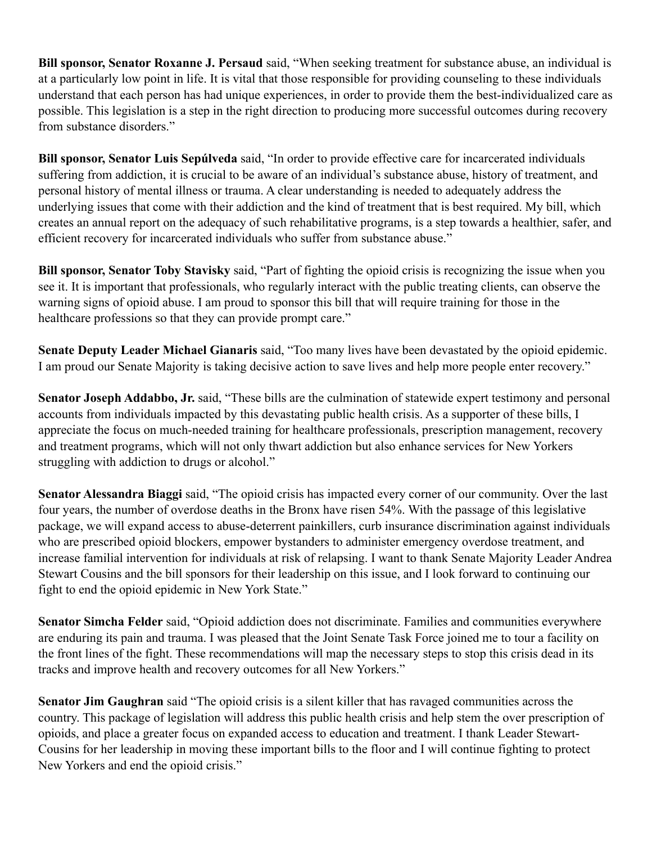**Bill sponsor, Senator Roxanne J. Persaud** said, "When seeking treatment for substance abuse, an individual is at a particularly low point in life. It is vital that those responsible for providing counseling to these individuals understand that each person has had unique experiences, in order to provide them the best-individualized care as possible. This legislation is a step in the right direction to producing more successful outcomes during recovery from substance disorders."

**Bill sponsor, Senator Luis Sepúlveda** said, "In order to provide effective care for incarcerated individuals suffering from addiction, it is crucial to be aware of an individual's substance abuse, history of treatment, and personal history of mental illness or trauma. A clear understanding is needed to adequately address the underlying issues that come with their addiction and the kind of treatment that is best required. My bill, which creates an annual report on the adequacy of such rehabilitative programs, is a step towards a healthier, safer, and efficient recovery for incarcerated individuals who suffer from substance abuse."

**Bill sponsor, Senator Toby Stavisky** said, "Part of fighting the opioid crisis is recognizing the issue when you see it. It is important that professionals, who regularly interact with the public treating clients, can observe the warning signs of opioid abuse. I am proud to sponsor this bill that will require training for those in the healthcare professions so that they can provide prompt care."

**Senate Deputy Leader Michael Gianaris** said, "Too many lives have been devastated by the opioid epidemic. I am proud our Senate Majority is taking decisive action to save lives and help more people enter recovery."

**Senator Joseph Addabbo, Jr.** said, "These bills are the culmination of statewide expert testimony and personal accounts from individuals impacted by this devastating public health crisis. As a supporter of these bills, I appreciate the focus on much-needed training for healthcare professionals, prescription management, recovery and treatment programs, which will not only thwart addiction but also enhance services for New Yorkers struggling with addiction to drugs or alcohol."

**Senator Alessandra Biaggi** said, "The opioid crisis has impacted every corner of our community. Over the last four years, the number of overdose deaths in the Bronx have risen 54%. With the passage of this legislative package, we will expand access to abuse-deterrent painkillers, curb insurance discrimination against individuals who are prescribed opioid blockers, empower bystanders to administer emergency overdose treatment, and increase familial intervention for individuals at risk of relapsing. I want to thank Senate Majority Leader Andrea Stewart Cousins and the bill sponsors for their leadership on this issue, and I look forward to continuing our fight to end the opioid epidemic in New York State."

**Senator Simcha Felder** said, "Opioid addiction does not discriminate. Families and communities everywhere are enduring its pain and trauma. I was pleased that the Joint Senate Task Force joined me to tour a facility on the front lines of the fight. These recommendations will map the necessary steps to stop this crisis dead in its tracks and improve health and recovery outcomes for all New Yorkers."

**Senator Jim Gaughran** said "The opioid crisis is a silent killer that has ravaged communities across the country. This package of legislation will address this public health crisis and help stem the over prescription of opioids, and place a greater focus on expanded access to education and treatment. I thank Leader Stewart-Cousins for her leadership in moving these important bills to the floor and I will continue fighting to protect New Yorkers and end the opioid crisis."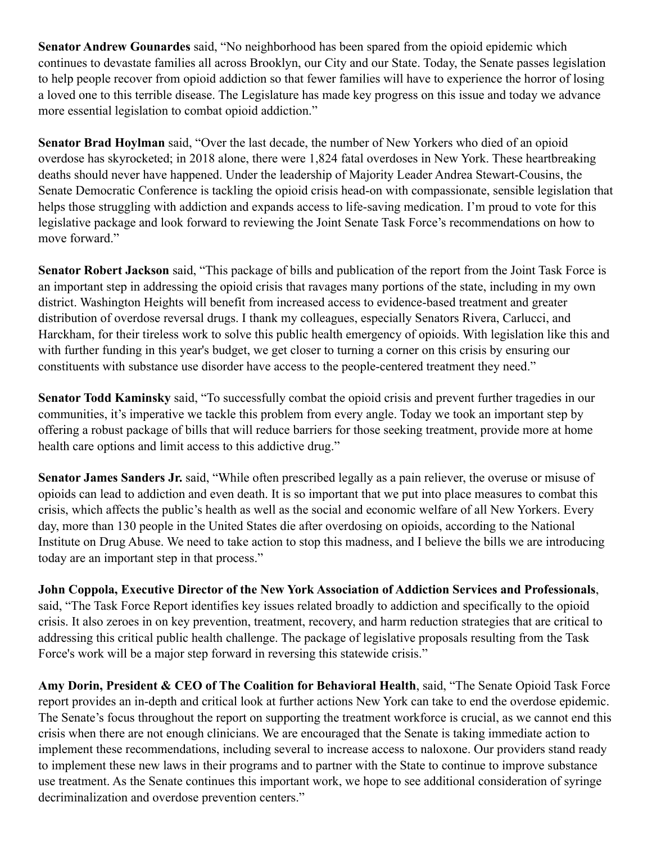**Senator Andrew Gounardes** said, "No neighborhood has been spared from the opioid epidemic which continues to devastate families all across Brooklyn, our City and our State. Today, the Senate passes legislation to help people recover from opioid addiction so that fewer families will have to experience the horror of losing a loved one to this terrible disease. The Legislature has made key progress on this issue and today we advance more essential legislation to combat opioid addiction."

**Senator Brad Hoylman** said, "Over the last decade, the number of New Yorkers who died of an opioid overdose has skyrocketed; in 2018 alone, there were 1,824 fatal overdoses in New York. These heartbreaking deaths should never have happened. Under the leadership of Majority Leader Andrea Stewart-Cousins, the Senate Democratic Conference is tackling the opioid crisis head-on with compassionate, sensible legislation that helps those struggling with addiction and expands access to life-saving medication. I'm proud to vote for this legislative package and look forward to reviewing the Joint Senate Task Force's recommendations on how to move forward."

**Senator Robert Jackson** said, "This package of bills and publication of the report from the Joint Task Force is an important step in addressing the opioid crisis that ravages many portions of the state, including in my own district. Washington Heights will benefit from increased access to evidence-based treatment and greater distribution of overdose reversal drugs. I thank my colleagues, especially Senators Rivera, Carlucci, and Harckham, for their tireless work to solve this public health emergency of opioids. With legislation like this and with further funding in this year's budget, we get closer to turning a corner on this crisis by ensuring our constituents with substance use disorder have access to the people-centered treatment they need."

**Senator Todd Kaminsky** said, "To successfully combat the opioid crisis and prevent further tragedies in our communities, it's imperative we tackle this problem from every angle. Today we took an important step by offering a robust package of bills that will reduce barriers for those seeking treatment, provide more at home health care options and limit access to this addictive drug."

**Senator James Sanders Jr.** said, "While often prescribed legally as a pain reliever, the overuse or misuse of opioids can lead to addiction and even death. It is so important that we put into place measures to combat this crisis, which affects the public's health as well as the social and economic welfare of all New Yorkers. Every day, more than 130 people in the United States die after overdosing on opioids, according to the National Institute on Drug Abuse. We need to take action to stop this madness, and I believe the bills we are introducing today are an important step in that process."

**John Coppola, Executive Director of the New York Association of Addiction Services and Professionals**, said, "The Task Force Report identifies key issues related broadly to addiction and specifically to the opioid crisis. It also zeroes in on key prevention, treatment, recovery, and harm reduction strategies that are critical to addressing this critical public health challenge. The package of legislative proposals resulting from the Task Force's work will be a major step forward in reversing this statewide crisis."

**Amy Dorin, President & CEO of The Coalition for Behavioral Health**, said, "The Senate Opioid Task Force report provides an in-depth and critical look at further actions New York can take to end the overdose epidemic. The Senate's focus throughout the report on supporting the treatment workforce is crucial, as we cannot end this crisis when there are not enough clinicians. We are encouraged that the Senate is taking immediate action to implement these recommendations, including several to increase access to naloxone. Our providers stand ready to implement these new laws in their programs and to partner with the State to continue to improve substance use treatment. As the Senate continues this important work, we hope to see additional consideration of syringe decriminalization and overdose prevention centers."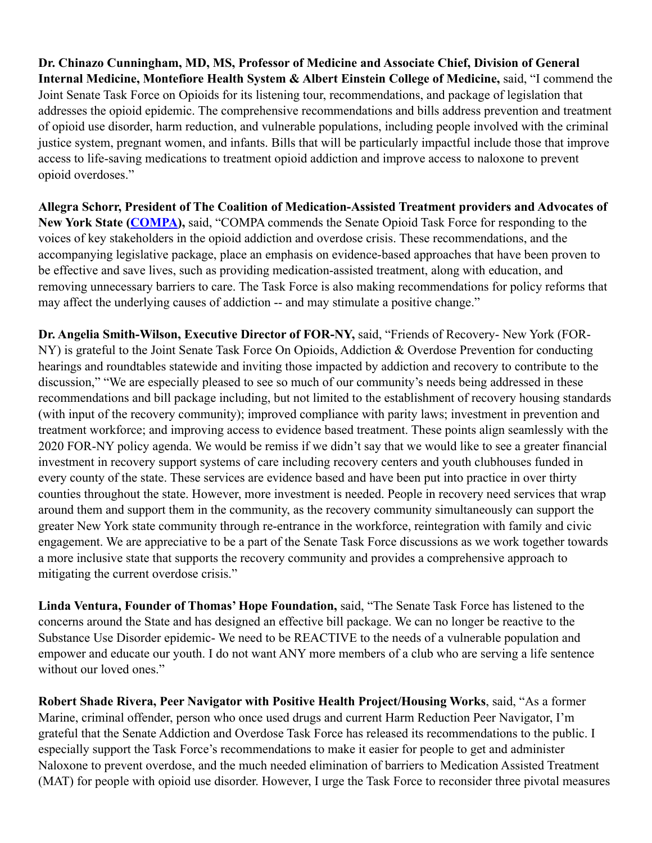**Dr. Chinazo Cunningham, MD, MS, Professor of Medicine and Associate Chief, Division of General Internal Medicine, Montefiore Health System & Albert Einstein College of Medicine,** said, "I commend the Joint Senate Task Force on Opioids for its listening tour, recommendations, and package of legislation that addresses the opioid epidemic. The comprehensive recommendations and bills address prevention and treatment of opioid use disorder, harm reduction, and vulnerable populations, including people involved with the criminal justice system, pregnant women, and infants. Bills that will be particularly impactful include those that improve access to life-saving medications to treatment opioid addiction and improve access to naloxone to prevent opioid overdoses."

**Allegra Schorr, President of The Coalition of Medication-Assisted Treatment providers and Advocates of New York State ([COMPA\)](https://compa-ny.org/),** said, "COMPA commends the Senate Opioid Task Force for responding to the voices of key stakeholders in the opioid addiction and overdose crisis. These recommendations, and the accompanying legislative package, place an emphasis on evidence-based approaches that have been proven to be effective and save lives, such as providing medication-assisted treatment, along with education, and removing unnecessary barriers to care. The Task Force is also making recommendations for policy reforms that may affect the underlying causes of addiction -- and may stimulate a positive change."

**Dr. Angelia Smith-Wilson, Executive Director of FOR-NY,** said, "Friends of Recovery- New York (FOR-NY) is grateful to the Joint Senate Task Force On Opioids, Addiction & Overdose Prevention for conducting hearings and roundtables statewide and inviting those impacted by addiction and recovery to contribute to the discussion," "We are especially pleased to see so much of our community's needs being addressed in these recommendations and bill package including, but not limited to the establishment of recovery housing standards (with input of the recovery community); improved compliance with parity laws; investment in prevention and treatment workforce; and improving access to evidence based treatment. These points align seamlessly with the 2020 FOR-NY policy agenda. We would be remiss if we didn't say that we would like to see a greater financial investment in recovery support systems of care including recovery centers and youth clubhouses funded in every county of the state. These services are evidence based and have been put into practice in over thirty counties throughout the state. However, more investment is needed. People in recovery need services that wrap around them and support them in the community, as the recovery community simultaneously can support the greater New York state community through re-entrance in the workforce, reintegration with family and civic engagement. We are appreciative to be a part of the Senate Task Force discussions as we work together towards a more inclusive state that supports the recovery community and provides a comprehensive approach to mitigating the current overdose crisis."

**Linda Ventura, Founder of Thomas' Hope Foundation,** said, "The Senate Task Force has listened to the concerns around the State and has designed an effective bill package. We can no longer be reactive to the Substance Use Disorder epidemic- We need to be REACTIVE to the needs of a vulnerable population and empower and educate our youth. I do not want ANY more members of a club who are serving a life sentence without our loved ones."

**Robert Shade Rivera, Peer Navigator with Positive Health Project/Housing Works**, said, "As a former Marine, criminal offender, person who once used drugs and current Harm Reduction Peer Navigator, I'm grateful that the Senate Addiction and Overdose Task Force has released its recommendations to the public. I especially support the Task Force's recommendations to make it easier for people to get and administer Naloxone to prevent overdose, and the much needed elimination of barriers to Medication Assisted Treatment (MAT) for people with opioid use disorder. However, I urge the Task Force to reconsider three pivotal measures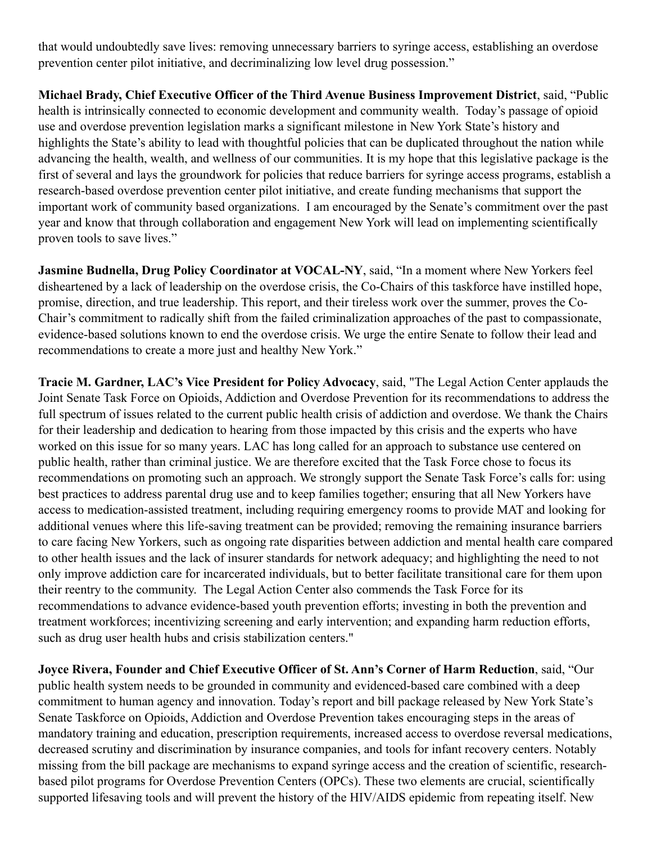that would undoubtedly save lives: removing unnecessary barriers to syringe access, establishing an overdose prevention center pilot initiative, and decriminalizing low level drug possession."

**Michael Brady, Chief Executive Officer of the Third Avenue Business Improvement District**, said, "Public health is intrinsically connected to economic development and community wealth. Today's passage of opioid use and overdose prevention legislation marks a significant milestone in New York State's history and highlights the State's ability to lead with thoughtful policies that can be duplicated throughout the nation while advancing the health, wealth, and wellness of our communities. It is my hope that this legislative package is the first of several and lays the groundwork for policies that reduce barriers for syringe access programs, establish a research-based overdose prevention center pilot initiative, and create funding mechanisms that support the important work of community based organizations. I am encouraged by the Senate's commitment over the past year and know that through collaboration and engagement New York will lead on implementing scientifically proven tools to save lives."

**Jasmine Budnella, Drug Policy Coordinator at VOCAL-NY**, said, "In a moment where New Yorkers feel disheartened by a lack of leadership on the overdose crisis, the Co-Chairs of this taskforce have instilled hope, promise, direction, and true leadership. This report, and their tireless work over the summer, proves the Co-Chair's commitment to radically shift from the failed criminalization approaches of the past to compassionate, evidence-based solutions known to end the overdose crisis. We urge the entire Senate to follow their lead and recommendations to create a more just and healthy New York."

**Tracie M. Gardner, LAC's Vice President for Policy Advocacy**, said, "The Legal Action Center applauds the Joint Senate Task Force on Opioids, Addiction and Overdose Prevention for its recommendations to address the full spectrum of issues related to the current public health crisis of addiction and overdose. We thank the Chairs for their leadership and dedication to hearing from those impacted by this crisis and the experts who have worked on this issue for so many years. LAC has long called for an approach to substance use centered on public health, rather than criminal justice. We are therefore excited that the Task Force chose to focus its recommendations on promoting such an approach. We strongly support the Senate Task Force's calls for: using best practices to address parental drug use and to keep families together; ensuring that all New Yorkers have access to medication-assisted treatment, including requiring emergency rooms to provide MAT and looking for additional venues where this life-saving treatment can be provided; removing the remaining insurance barriers to care facing New Yorkers, such as ongoing rate disparities between addiction and mental health care compared to other health issues and the lack of insurer standards for network adequacy; and highlighting the need to not only improve addiction care for incarcerated individuals, but to better facilitate transitional care for them upon their reentry to the community. The Legal Action Center also commends the Task Force for its recommendations to advance evidence-based youth prevention efforts; investing in both the prevention and treatment workforces; incentivizing screening and early intervention; and expanding harm reduction efforts, such as drug user health hubs and crisis stabilization centers."

**Joyce Rivera, Founder and Chief Executive Officer of St. Ann's Corner of Harm Reduction**, said, "Our public health system needs to be grounded in community and evidenced-based care combined with a deep commitment to human agency and innovation. Today's report and bill package released by New York State's Senate Taskforce on Opioids, Addiction and Overdose Prevention takes encouraging steps in the areas of mandatory training and education, prescription requirements, increased access to overdose reversal medications, decreased scrutiny and discrimination by insurance companies, and tools for infant recovery centers. Notably missing from the bill package are mechanisms to expand syringe access and the creation of scientific, researchbased pilot programs for Overdose Prevention Centers (OPCs). These two elements are crucial, scientifically supported lifesaving tools and will prevent the history of the HIV/AIDS epidemic from repeating itself. New